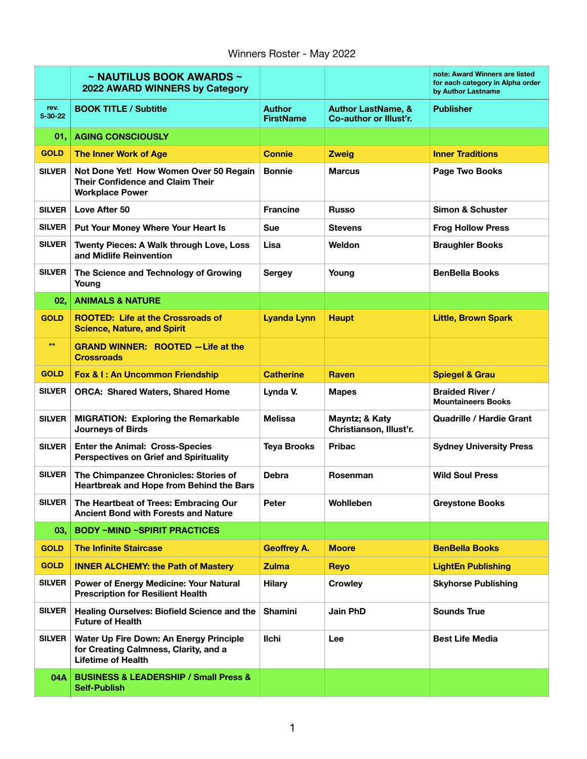|                       | $\sim$ NAUTILUS BOOK AWARDS $\sim$<br>2022 AWARD WINNERS by Category                                          |                                   |                                                         | note: Award Winners are listed<br>for each category in Alpha order<br>by Author Lastname |
|-----------------------|---------------------------------------------------------------------------------------------------------------|-----------------------------------|---------------------------------------------------------|------------------------------------------------------------------------------------------|
| rev.<br>$5 - 30 - 22$ | <b>BOOK TITLE / Subtitle</b>                                                                                  | <b>Author</b><br><b>FirstName</b> | <b>Author LastName, &amp;</b><br>Co-author or Illust'r. | <b>Publisher</b>                                                                         |
| 01.                   | <b>AGING CONSCIOUSLY</b>                                                                                      |                                   |                                                         |                                                                                          |
| <b>GOLD</b>           | <b>The Inner Work of Age</b>                                                                                  | <b>Connie</b>                     | <b>Zweig</b>                                            | <b>Inner Traditions</b>                                                                  |
| <b>SILVER</b>         | Not Done Yet! How Women Over 50 Regain<br><b>Their Confidence and Claim Their</b><br><b>Workplace Power</b>   | <b>Bonnie</b>                     | <b>Marcus</b>                                           | <b>Page Two Books</b>                                                                    |
| <b>SILVER</b>         | Love After 50                                                                                                 | <b>Francine</b>                   | <b>Russo</b>                                            | Simon & Schuster                                                                         |
| <b>SILVER</b>         | Put Your Money Where Your Heart Is                                                                            | Sue                               | <b>Stevens</b>                                          | <b>Frog Hollow Press</b>                                                                 |
| <b>SILVER</b>         | <b>Twenty Pieces: A Walk through Love, Loss</b><br>and Midlife Reinvention                                    | Lisa                              | Weldon                                                  | <b>Braughler Books</b>                                                                   |
| <b>SILVER</b>         | The Science and Technology of Growing<br>Young                                                                | <b>Sergey</b>                     | Young                                                   | <b>BenBella Books</b>                                                                    |
| 02,                   | <b>ANIMALS &amp; NATURE</b>                                                                                   |                                   |                                                         |                                                                                          |
| <b>GOLD</b>           | <b>ROOTED: Life at the Crossroads of</b><br><b>Science, Nature, and Spirit</b>                                | <b>Lyanda Lynn</b>                | <b>Haupt</b>                                            | <b>Little, Brown Spark</b>                                                               |
| $**$                  | <b>GRAND WINNER: ROOTED - Life at the</b><br><b>Crossroads</b>                                                |                                   |                                                         |                                                                                          |
| <b>GOLD</b>           | Fox & I: An Uncommon Friendship                                                                               | <b>Catherine</b>                  | <b>Raven</b>                                            | <b>Spiegel &amp; Grau</b>                                                                |
| <b>SILVER</b>         | <b>ORCA: Shared Waters, Shared Home</b>                                                                       | Lynda V.                          | <b>Mapes</b>                                            | <b>Braided River /</b><br><b>Mountaineers Books</b>                                      |
| <b>SILVER</b>         | <b>MIGRATION: Exploring the Remarkable</b><br><b>Journeys of Birds</b>                                        | <b>Melissa</b>                    | Mayntz; & Katy<br>Christianson, Illust'r.               | <b>Quadrille / Hardie Grant</b>                                                          |
| <b>SILVER</b>         | <b>Enter the Animal: Cross-Species</b><br><b>Perspectives on Grief and Spirituality</b>                       | <b>Teya Brooks</b>                | <b>Pribac</b>                                           | <b>Sydney University Press</b>                                                           |
| <b>SILVER</b>         | The Chimpanzee Chronicles: Stories of<br>Heartbreak and Hope from Behind the Bars                             | <b>Debra</b>                      | Rosenman                                                | <b>Wild Soul Press</b>                                                                   |
| <b>SILVER</b>         | The Heartbeat of Trees: Embracing Our<br><b>Ancient Bond with Forests and Nature</b>                          | <b>Peter</b>                      | Wohlleben                                               | <b>Greystone Books</b>                                                                   |
| 03.                   | <b>BODY ~MIND ~SPIRIT PRACTICES</b>                                                                           |                                   |                                                         |                                                                                          |
| <b>GOLD</b>           | <b>The Infinite Staircase</b>                                                                                 | <b>Geoffrey A.</b>                | <b>Moore</b>                                            | <b>BenBella Books</b>                                                                    |
| <b>GOLD</b>           | <b>INNER ALCHEMY: the Path of Mastery</b>                                                                     | <b>Zulma</b>                      | <b>Reyo</b>                                             | <b>LightEn Publishing</b>                                                                |
| <b>SILVER</b>         | Power of Energy Medicine: Your Natural<br><b>Prescription for Resilient Health</b>                            | <b>Hilary</b>                     | <b>Crowley</b>                                          | <b>Skyhorse Publishing</b>                                                               |
| <b>SILVER</b>         | Healing Ourselves: Biofield Science and the<br><b>Future of Health</b>                                        | Shamini                           | Jain PhD                                                | <b>Sounds True</b>                                                                       |
| <b>SILVER</b>         | Water Up Fire Down: An Energy Principle<br>for Creating Calmness, Clarity, and a<br><b>Lifetime of Health</b> | <b>Ilchi</b>                      | Lee                                                     | <b>Best Life Media</b>                                                                   |
| 04A                   | <b>BUSINESS &amp; LEADERSHIP / Small Press &amp;</b><br><b>Self-Publish</b>                                   |                                   |                                                         |                                                                                          |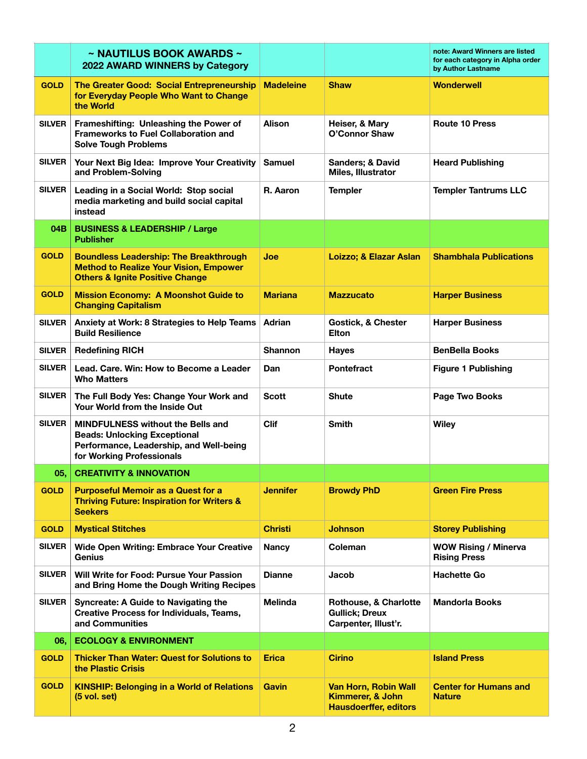|               | ~ NAUTILUS BOOK AWARDS ~<br>2022 AWARD WINNERS by Category                                                                                              |                  |                                                                          | note: Award Winners are listed<br>for each category in Alpha order<br>by Author Lastname |
|---------------|---------------------------------------------------------------------------------------------------------------------------------------------------------|------------------|--------------------------------------------------------------------------|------------------------------------------------------------------------------------------|
| <b>GOLD</b>   | <b>The Greater Good: Social Entrepreneurship</b><br>for Everyday People Who Want to Change<br>the World                                                 | <b>Madeleine</b> | <b>Shaw</b>                                                              | <b>Wonderwell</b>                                                                        |
| <b>SILVER</b> | Frameshifting: Unleashing the Power of<br><b>Frameworks to Fuel Collaboration and</b><br><b>Solve Tough Problems</b>                                    | <b>Alison</b>    | Heiser, & Mary<br>O'Connor Shaw                                          | <b>Route 10 Press</b>                                                                    |
| <b>SILVER</b> | Your Next Big Idea: Improve Your Creativity<br>and Problem-Solving                                                                                      | <b>Samuel</b>    | <b>Sanders; &amp; David</b><br>Miles, Illustrator                        | <b>Heard Publishing</b>                                                                  |
| <b>SILVER</b> | Leading in a Social World: Stop social<br>media marketing and build social capital<br>instead                                                           | R. Aaron         | <b>Templer</b>                                                           | <b>Templer Tantrums LLC</b>                                                              |
| 04B           | <b>BUSINESS &amp; LEADERSHIP / Large</b><br><b>Publisher</b>                                                                                            |                  |                                                                          |                                                                                          |
| <b>GOLD</b>   | <b>Boundless Leadership: The Breakthrough</b><br><b>Method to Realize Your Vision, Empower</b><br><b>Others &amp; Ignite Positive Change</b>            | Joe              | Loizzo; & Elazar Aslan                                                   | <b>Shambhala Publications</b>                                                            |
| <b>GOLD</b>   | <b>Mission Economy: A Moonshot Guide to</b><br><b>Changing Capitalism</b>                                                                               | <b>Mariana</b>   | <b>Mazzucato</b>                                                         | <b>Harper Business</b>                                                                   |
| <b>SILVER</b> | Anxiety at Work: 8 Strategies to Help Teams<br><b>Build Resilience</b>                                                                                  | Adrian           | <b>Gostick, &amp; Chester</b><br><b>Elton</b>                            | <b>Harper Business</b>                                                                   |
| <b>SILVER</b> | <b>Redefining RICH</b>                                                                                                                                  | <b>Shannon</b>   | <b>Hayes</b>                                                             | <b>BenBella Books</b>                                                                    |
| <b>SILVER</b> | Lead, Care, Win: How to Become a Leader<br><b>Who Matters</b>                                                                                           | Dan              | <b>Pontefract</b>                                                        | <b>Figure 1 Publishing</b>                                                               |
| <b>SILVER</b> | The Full Body Yes: Change Your Work and<br>Your World from the Inside Out                                                                               | Scott            | <b>Shute</b>                                                             | Page Two Books                                                                           |
| <b>SILVER</b> | <b>MINDFULNESS without the Bells and</b><br><b>Beads: Unlocking Exceptional</b><br>Performance, Leadership, and Well-being<br>for Working Professionals | <b>Clif</b>      | <b>Smith</b>                                                             | <b>Wiley</b>                                                                             |
| 05,           | <b>CREATIVITY &amp; INNOVATION</b>                                                                                                                      |                  |                                                                          |                                                                                          |
| <b>GOLD</b>   | <b>Purposeful Memoir as a Quest for a</b><br><b>Thriving Future: Inspiration for Writers &amp;</b><br><b>Seekers</b>                                    | <b>Jennifer</b>  | <b>Browdy PhD</b>                                                        | <b>Green Fire Press</b>                                                                  |
| <b>GOLD</b>   | <b>Mystical Stitches</b>                                                                                                                                | <b>Christi</b>   | <b>Johnson</b>                                                           | <b>Storey Publishing</b>                                                                 |
| <b>SILVER</b> | <b>Wide Open Writing: Embrace Your Creative</b><br><b>Genius</b>                                                                                        | <b>Nancy</b>     | Coleman                                                                  | <b>WOW Rising / Minerva</b><br><b>Rising Press</b>                                       |
| <b>SILVER</b> | Will Write for Food: Pursue Your Passion<br>and Bring Home the Dough Writing Recipes                                                                    | <b>Dianne</b>    | Jacob                                                                    | <b>Hachette Go</b>                                                                       |
| <b>SILVER</b> | <b>Syncreate: A Guide to Navigating the</b><br><b>Creative Process for Individuals, Teams,</b><br>and Communities                                       | <b>Melinda</b>   | Rothouse, & Charlotte<br><b>Gullick; Dreux</b><br>Carpenter, Illust'r.   | <b>Mandorla Books</b>                                                                    |
| 06.           | <b>ECOLOGY &amp; ENVIRONMENT</b>                                                                                                                        |                  |                                                                          |                                                                                          |
| <b>GOLD</b>   | <b>Thicker Than Water: Quest for Solutions to</b><br>the Plastic Crisis                                                                                 | <b>Erica</b>     | <b>Cirino</b>                                                            | <b>Island Press</b>                                                                      |
| <b>GOLD</b>   | <b>KINSHIP: Belonging in a World of Relations</b><br>$(5$ vol. set)                                                                                     | Gavin            | Van Horn, Robin Wall<br>Kimmerer, & John<br><b>Hausdoerffer, editors</b> | <b>Center for Humans and</b><br><b>Nature</b>                                            |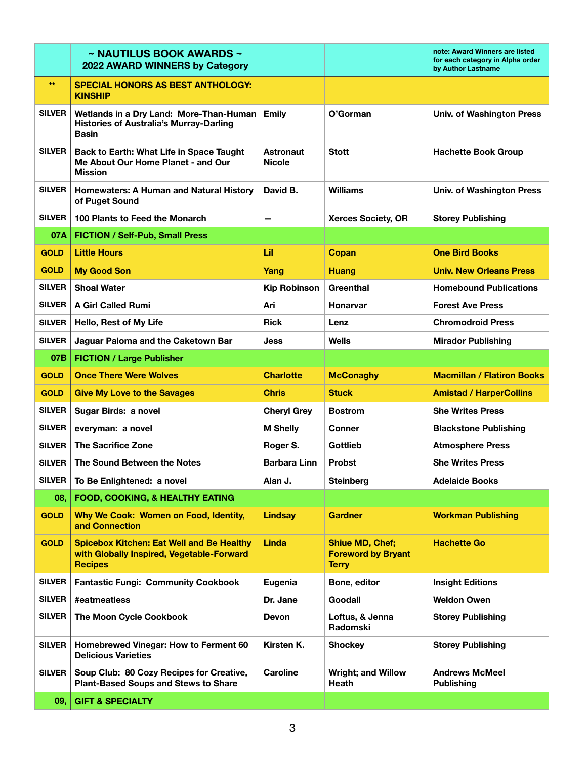|               | ~ NAUTILUS BOOK AWARDS ~<br>2022 AWARD WINNERS by Category                                                      |                                   |                                                                     | note: Award Winners are listed<br>for each category in Alpha order<br>by Author Lastname |
|---------------|-----------------------------------------------------------------------------------------------------------------|-----------------------------------|---------------------------------------------------------------------|------------------------------------------------------------------------------------------|
| $**$          | <b>SPECIAL HONORS AS BEST ANTHOLOGY:</b><br><b>KINSHIP</b>                                                      |                                   |                                                                     |                                                                                          |
| <b>SILVER</b> | Wetlands in a Dry Land: More-Than-Human<br><b>Histories of Australia's Murray-Darling</b><br><b>Basin</b>       | <b>Emily</b>                      | O'Gorman                                                            | <b>Univ. of Washington Press</b>                                                         |
| <b>SILVER</b> | Back to Earth: What Life in Space Taught<br>Me About Our Home Planet - and Our<br><b>Mission</b>                | <b>Astronaut</b><br><b>Nicole</b> | <b>Stott</b>                                                        | <b>Hachette Book Group</b>                                                               |
| <b>SILVER</b> | Homewaters: A Human and Natural History<br>of Puget Sound                                                       | David B.                          | Williams                                                            | <b>Univ. of Washington Press</b>                                                         |
| <b>SILVER</b> | 100 Plants to Feed the Monarch                                                                                  | -                                 | <b>Xerces Society, OR</b>                                           | <b>Storey Publishing</b>                                                                 |
| 07A           | <b>FICTION / Self-Pub, Small Press</b>                                                                          |                                   |                                                                     |                                                                                          |
| <b>GOLD</b>   | <b>Little Hours</b>                                                                                             | Lil                               | Copan                                                               | <b>One Bird Books</b>                                                                    |
| <b>GOLD</b>   | <b>My Good Son</b>                                                                                              | Yang                              | <b>Huang</b>                                                        | <b>Univ. New Orleans Press</b>                                                           |
| <b>SILVER</b> | <b>Shoal Water</b>                                                                                              | <b>Kip Robinson</b>               | Greenthal                                                           | <b>Homebound Publications</b>                                                            |
| <b>SILVER</b> | <b>A Girl Called Rumi</b>                                                                                       | Ari                               | <b>Honarvar</b>                                                     | <b>Forest Ave Press</b>                                                                  |
| <b>SILVER</b> | Hello, Rest of My Life                                                                                          | <b>Rick</b>                       | Lenz                                                                | <b>Chromodroid Press</b>                                                                 |
| <b>SILVER</b> | Jaguar Paloma and the Caketown Bar                                                                              | Jess                              | <b>Wells</b>                                                        | <b>Mirador Publishing</b>                                                                |
| 07B           | <b>FICTION / Large Publisher</b>                                                                                |                                   |                                                                     |                                                                                          |
| <b>GOLD</b>   | <b>Once There Were Wolves</b>                                                                                   | <b>Charlotte</b>                  | <b>McConaghy</b>                                                    | <b>Macmillan / Flatiron Books</b>                                                        |
| <b>GOLD</b>   | <b>Give My Love to the Savages</b>                                                                              | <b>Chris</b>                      | <b>Stuck</b>                                                        | <b>Amistad / HarperCollins</b>                                                           |
| <b>SILVER</b> | Sugar Birds: a novel                                                                                            | <b>Cheryl Grey</b>                | <b>Bostrom</b>                                                      | <b>She Writes Press</b>                                                                  |
| <b>SILVER</b> | everyman: a novel                                                                                               | <b>M Shelly</b>                   | Conner                                                              | <b>Blackstone Publishing</b>                                                             |
| <b>SILVER</b> | <b>The Sacrifice Zone</b>                                                                                       | Roger S.                          | Gottlieb                                                            | <b>Atmosphere Press</b>                                                                  |
| <b>SILVER</b> | The Sound Between the Notes                                                                                     | <b>Barbara Linn</b>               | <b>Probst</b>                                                       | <b>She Writes Press</b>                                                                  |
| <b>SILVER</b> | To Be Enlightened: a novel                                                                                      | Alan J.                           | <b>Steinberg</b>                                                    | <b>Adelaide Books</b>                                                                    |
| 08,           | FOOD, COOKING, & HEALTHY EATING                                                                                 |                                   |                                                                     |                                                                                          |
| <b>GOLD</b>   | <b>Why We Cook: Women on Food, Identity,</b><br>and Connection                                                  | <b>Lindsay</b>                    | <b>Gardner</b>                                                      | <b>Workman Publishing</b>                                                                |
| <b>GOLD</b>   | <b>Spicebox Kitchen: Eat Well and Be Healthy</b><br>with Globally Inspired, Vegetable-Forward<br><b>Recipes</b> | Linda                             | <b>Shiue MD, Chef;</b><br><b>Foreword by Bryant</b><br><b>Terry</b> | <b>Hachette Go</b>                                                                       |
| <b>SILVER</b> | <b>Fantastic Fungi: Community Cookbook</b>                                                                      | Eugenia                           | Bone, editor                                                        | <b>Insight Editions</b>                                                                  |
| <b>SILVER</b> | #eatmeatless                                                                                                    | Dr. Jane                          | Goodall                                                             | <b>Weldon Owen</b>                                                                       |
| <b>SILVER</b> | The Moon Cycle Cookbook                                                                                         | <b>Devon</b>                      | Loftus, & Jenna<br>Radomski                                         | <b>Storey Publishing</b>                                                                 |
| <b>SILVER</b> | Homebrewed Vinegar: How to Ferment 60<br><b>Delicious Varieties</b>                                             | Kirsten K.                        | <b>Shockey</b>                                                      | <b>Storey Publishing</b>                                                                 |
| <b>SILVER</b> | Soup Club: 80 Cozy Recipes for Creative,<br><b>Plant-Based Soups and Stews to Share</b>                         | <b>Caroline</b>                   | <b>Wright; and Willow</b><br><b>Heath</b>                           | <b>Andrews McMeel</b><br><b>Publishing</b>                                               |
| 09,           | <b>GIFT &amp; SPECIALTY</b>                                                                                     |                                   |                                                                     |                                                                                          |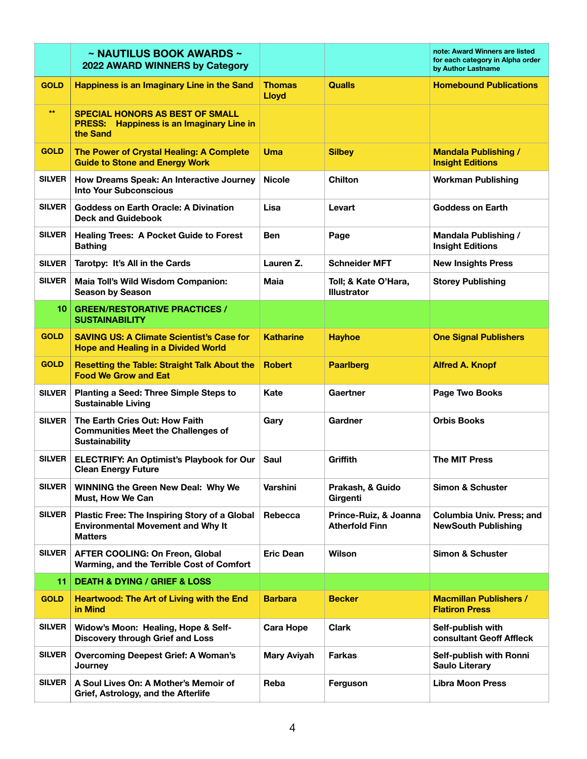|               | ~ NAUTILUS BOOK AWARDS ~<br>2022 AWARD WINNERS by Category                                                  |                               |                                                | note: Award Winners are listed<br>for each category in Alpha order<br>by Author Lastname |
|---------------|-------------------------------------------------------------------------------------------------------------|-------------------------------|------------------------------------------------|------------------------------------------------------------------------------------------|
| <b>GOLD</b>   | Happiness is an Imaginary Line in the Sand                                                                  | <b>Thomas</b><br><b>Lloyd</b> | <b>Qualls</b>                                  | <b>Homebound Publications</b>                                                            |
| $**$          | <b>SPECIAL HONORS AS BEST OF SMALL</b><br><b>PRESS:</b> Happiness is an Imaginary Line in<br>the Sand       |                               |                                                |                                                                                          |
| <b>GOLD</b>   | The Power of Crystal Healing: A Complete<br><b>Guide to Stone and Energy Work</b>                           | <b>Uma</b>                    | <b>Silbey</b>                                  | <b>Mandala Publishing /</b><br><b>Insight Editions</b>                                   |
| <b>SILVER</b> | How Dreams Speak: An Interactive Journey<br><b>Into Your Subconscious</b>                                   | <b>Nicole</b>                 | <b>Chilton</b>                                 | <b>Workman Publishing</b>                                                                |
| <b>SILVER</b> | <b>Goddess on Earth Oracle: A Divination</b><br><b>Deck and Guidebook</b>                                   | Lisa                          | Levart                                         | <b>Goddess on Earth</b>                                                                  |
| <b>SILVER</b> | <b>Healing Trees: A Pocket Guide to Forest</b><br><b>Bathing</b>                                            | <b>Ben</b>                    | Page                                           | <b>Mandala Publishing /</b><br><b>Insight Editions</b>                                   |
| <b>SILVER</b> | Tarotpy: It's All in the Cards                                                                              | Lauren Z.                     | <b>Schneider MFT</b>                           | <b>New Insights Press</b>                                                                |
| <b>SILVER</b> | Maia Toll's Wild Wisdom Companion:<br><b>Season by Season</b>                                               | <b>Maia</b>                   | Toll; & Kate O'Hara,<br><b>Illustrator</b>     | <b>Storey Publishing</b>                                                                 |
| 10            | <b>GREEN/RESTORATIVE PRACTICES /</b><br><b>SUSTAINABILITY</b>                                               |                               |                                                |                                                                                          |
| <b>GOLD</b>   | <b>SAVING US: A Climate Scientist's Case for</b><br><b>Hope and Healing in a Divided World</b>              | <b>Katharine</b>              | <b>Hayhoe</b>                                  | <b>One Signal Publishers</b>                                                             |
| <b>GOLD</b>   | <b>Resetting the Table: Straight Talk About the</b><br><b>Food We Grow and Eat</b>                          | <b>Robert</b>                 | <b>Paarlberg</b>                               | <b>Alfred A. Knopf</b>                                                                   |
| <b>SILVER</b> | Planting a Seed: Three Simple Steps to<br><b>Sustainable Living</b>                                         | Kate                          | Gaertner                                       | Page Two Books                                                                           |
| <b>SILVER</b> | The Earth Cries Out: How Faith<br><b>Communities Meet the Challenges of</b><br><b>Sustainability</b>        | Gary                          | Gardner                                        | <b>Orbis Books</b>                                                                       |
| <b>SILVER</b> | <b>ELECTRIFY: An Optimist's Playbook for Our</b><br><b>Clean Energy Future</b>                              | Saul                          | Griffith                                       | <b>The MIT Press</b>                                                                     |
| <b>SILVER</b> | <b>WINNING the Green New Deal: Why We</b><br><b>Must, How We Can</b>                                        | Varshini                      | Prakash, & Guido<br>Girgenti                   | <b>Simon &amp; Schuster</b>                                                              |
| <b>SILVER</b> | Plastic Free: The Inspiring Story of a Global<br><b>Environmental Movement and Why It</b><br><b>Matters</b> | Rebecca                       | Prince-Ruiz, & Joanna<br><b>Atherfold Finn</b> | <b>Columbia Univ. Press; and</b><br><b>NewSouth Publishing</b>                           |
| <b>SILVER</b> | <b>AFTER COOLING: On Freon, Global</b><br>Warming, and the Terrible Cost of Comfort                         | <b>Eric Dean</b>              | <b>Wilson</b>                                  | <b>Simon &amp; Schuster</b>                                                              |
| 11            | <b>DEATH &amp; DYING / GRIEF &amp; LOSS</b>                                                                 |                               |                                                |                                                                                          |
| <b>GOLD</b>   | <b>Heartwood: The Art of Living with the End</b><br>in Mind                                                 | <b>Barbara</b>                | <b>Becker</b>                                  | <b>Macmillan Publishers /</b><br><b>Flatiron Press</b>                                   |
| <b>SILVER</b> | Widow's Moon: Healing, Hope & Self-<br><b>Discovery through Grief and Loss</b>                              | <b>Cara Hope</b>              | <b>Clark</b>                                   | Self-publish with<br>consultant Geoff Affleck                                            |
| <b>SILVER</b> | <b>Overcoming Deepest Grief: A Woman's</b><br>Journey                                                       | <b>Mary Aviyah</b>            | <b>Farkas</b>                                  | Self-publish with Ronni<br><b>Saulo Literary</b>                                         |
| <b>SILVER</b> | A Soul Lives On: A Mother's Memoir of<br>Grief, Astrology, and the Afterlife                                | Reba                          | Ferguson                                       | <b>Libra Moon Press</b>                                                                  |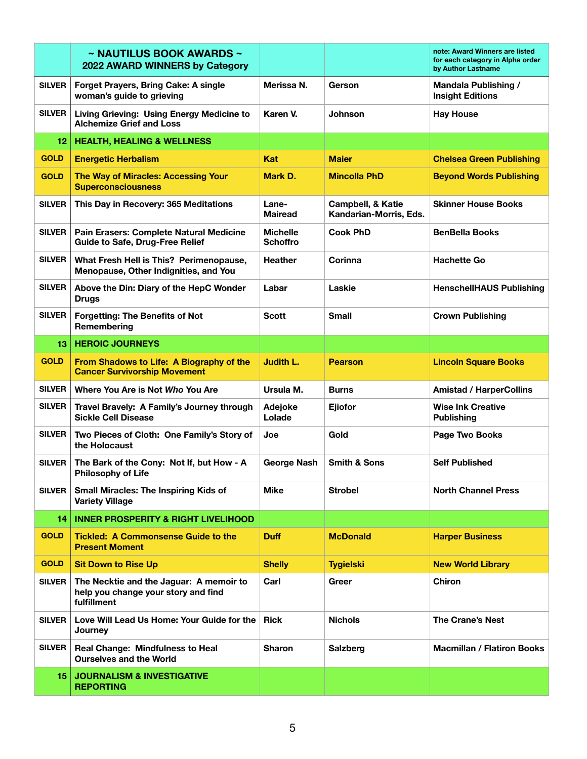|                 | ~ NAUTILUS BOOK AWARDS ~<br>2022 AWARD WINNERS by Category                                    |                             |                                             | note: Award Winners are listed<br>for each category in Alpha order<br>by Author Lastname |
|-----------------|-----------------------------------------------------------------------------------------------|-----------------------------|---------------------------------------------|------------------------------------------------------------------------------------------|
| <b>SILVER</b>   | Forget Prayers, Bring Cake: A single<br>woman's guide to grieving                             | Merissa N.                  | Gerson                                      | Mandala Publishing /<br><b>Insight Editions</b>                                          |
| <b>SILVER</b>   | Living Grieving: Using Energy Medicine to<br><b>Alchemize Grief and Loss</b>                  | Karen V.                    | <b>Johnson</b>                              | <b>Hay House</b>                                                                         |
| 12 <sub>1</sub> | <b>HEALTH, HEALING &amp; WELLNESS</b>                                                         |                             |                                             |                                                                                          |
| <b>GOLD</b>     | <b>Energetic Herbalism</b>                                                                    | Kat                         | <b>Maier</b>                                | <b>Chelsea Green Publishing</b>                                                          |
| <b>GOLD</b>     | <b>The Way of Miracles: Accessing Your</b><br><b>Superconsciousness</b>                       | Mark D.                     | <b>Mincolla PhD</b>                         | <b>Beyond Words Publishing</b>                                                           |
| <b>SILVER</b>   | This Day in Recovery: 365 Meditations                                                         | Lane-<br>Mairead            | Campbell, & Katie<br>Kandarian-Morris, Eds. | <b>Skinner House Books</b>                                                               |
| <b>SILVER</b>   | Pain Erasers: Complete Natural Medicine<br><b>Guide to Safe, Drug-Free Relief</b>             | Michelle<br><b>Schoffro</b> | <b>Cook PhD</b>                             | <b>BenBella Books</b>                                                                    |
| <b>SILVER</b>   | What Fresh Hell is This? Perimenopause,<br>Menopause, Other Indignities, and You              | <b>Heather</b>              | Corinna                                     | <b>Hachette Go</b>                                                                       |
| <b>SILVER</b>   | Above the Din: Diary of the HepC Wonder<br><b>Drugs</b>                                       | Labar                       | Laskie                                      | <b>HenschellHAUS Publishing</b>                                                          |
| <b>SILVER</b>   | <b>Forgetting: The Benefits of Not</b><br>Remembering                                         | Scott                       | <b>Small</b>                                | <b>Crown Publishing</b>                                                                  |
| 13              | <b>HEROIC JOURNEYS</b>                                                                        |                             |                                             |                                                                                          |
| <b>GOLD</b>     | From Shadows to Life: A Biography of the<br><b>Cancer Survivorship Movement</b>               | Judith L.                   | <b>Pearson</b>                              | <b>Lincoln Square Books</b>                                                              |
| <b>SILVER</b>   | Where You Are is Not Who You Are                                                              | Ursula M.                   | <b>Burns</b>                                | <b>Amistad / HarperCollins</b>                                                           |
| <b>SILVER</b>   | Travel Bravely: A Family's Journey through<br><b>Sickle Cell Disease</b>                      | Adejoke<br>Lolade           | Ejiofor                                     | <b>Wise Ink Creative</b><br><b>Publishing</b>                                            |
| <b>SILVER</b>   | Two Pieces of Cloth: One Family's Story of<br>the Holocaust                                   | Joe                         | Gold                                        | <b>Page Two Books</b>                                                                    |
| <b>SILVER</b>   | The Bark of the Cony: Not If, but How - A<br><b>Philosophy of Life</b>                        | George Nash                 | <b>Smith &amp; Sons</b>                     | <b>Self Published</b>                                                                    |
| <b>SILVER</b>   | <b>Small Miracles: The Inspiring Kids of</b><br><b>Variety Village</b>                        | <b>Mike</b>                 | <b>Strobel</b>                              | <b>North Channel Press</b>                                                               |
| 14              | <b>INNER PROSPERITY &amp; RIGHT LIVELIHOOD</b>                                                |                             |                                             |                                                                                          |
| <b>GOLD</b>     | <b>Tickled: A Commonsense Guide to the</b><br><b>Present Moment</b>                           | <b>Duff</b>                 | <b>McDonald</b>                             | <b>Harper Business</b>                                                                   |
| <b>GOLD</b>     | <b>Sit Down to Rise Up</b>                                                                    | <b>Shelly</b>               | <b>Tygielski</b>                            | <b>New World Library</b>                                                                 |
| <b>SILVER</b>   | The Necktie and the Jaguar: A memoir to<br>help you change your story and find<br>fulfillment | Carl                        | Greer                                       | Chiron                                                                                   |
| <b>SILVER</b>   | Love Will Lead Us Home: Your Guide for the<br>Journey                                         | <b>Rick</b>                 | <b>Nichols</b>                              | <b>The Crane's Nest</b>                                                                  |
| <b>SILVER</b>   | <b>Real Change: Mindfulness to Heal</b><br><b>Ourselves and the World</b>                     | <b>Sharon</b>               | <b>Salzberg</b>                             | <b>Macmillan / Flatiron Books</b>                                                        |
| 15              | <b>JOURNALISM &amp; INVESTIGATIVE</b><br><b>REPORTING</b>                                     |                             |                                             |                                                                                          |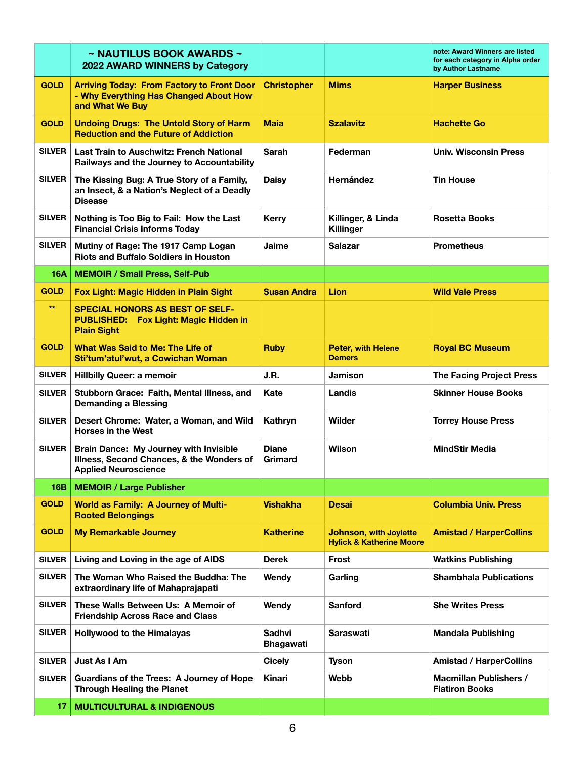|               | ~ NAUTILUS BOOK AWARDS ~<br>2022 AWARD WINNERS by Category                                                                |                                   |                                                                      | note: Award Winners are listed<br>for each category in Alpha order<br>by Author Lastname |
|---------------|---------------------------------------------------------------------------------------------------------------------------|-----------------------------------|----------------------------------------------------------------------|------------------------------------------------------------------------------------------|
| <b>GOLD</b>   | <b>Arriving Today: From Factory to Front Door</b><br>- Why Everything Has Changed About How<br>and What We Buy            | <b>Christopher</b>                | <b>Mims</b>                                                          | <b>Harper Business</b>                                                                   |
| <b>GOLD</b>   | <b>Undoing Drugs: The Untold Story of Harm</b><br><b>Reduction and the Future of Addiction</b>                            | <b>Maia</b>                       | <b>Szalavitz</b>                                                     | <b>Hachette Go</b>                                                                       |
| <b>SILVER</b> | Last Train to Auschwitz: French National<br>Railways and the Journey to Accountability                                    | <b>Sarah</b>                      | Federman                                                             | <b>Univ. Wisconsin Press</b>                                                             |
| <b>SILVER</b> | The Kissing Bug: A True Story of a Family,<br>an Insect, & a Nation's Neglect of a Deadly<br><b>Disease</b>               | <b>Daisy</b>                      | <b>Hernández</b>                                                     | <b>Tin House</b>                                                                         |
| <b>SILVER</b> | Nothing is Too Big to Fail: How the Last<br><b>Financial Crisis Informs Today</b>                                         | <b>Kerry</b>                      | Killinger, & Linda<br><b>Killinger</b>                               | <b>Rosetta Books</b>                                                                     |
| <b>SILVER</b> | Mutiny of Rage: The 1917 Camp Logan<br><b>Riots and Buffalo Soldiers in Houston</b>                                       | Jaime                             | <b>Salazar</b>                                                       | <b>Prometheus</b>                                                                        |
| 16A           | <b>MEMOIR / Small Press, Self-Pub</b>                                                                                     |                                   |                                                                      |                                                                                          |
| <b>GOLD</b>   | <b>Fox Light: Magic Hidden in Plain Sight</b>                                                                             | <b>Susan Andra</b>                | Lion                                                                 | <b>Wild Vale Press</b>                                                                   |
| $**$          | <b>SPECIAL HONORS AS BEST OF SELF-</b><br><b>PUBLISHED: Fox Light: Magic Hidden in</b><br><b>Plain Sight</b>              |                                   |                                                                      |                                                                                          |
| <b>GOLD</b>   | <b>What Was Said to Me: The Life of</b><br>Sti'tum'atul'wut, a Cowichan Woman                                             | <b>Ruby</b>                       | <b>Peter, with Helene</b><br><b>Demers</b>                           | <b>Royal BC Museum</b>                                                                   |
| <b>SILVER</b> | <b>Hillbilly Queer: a memoir</b>                                                                                          | J.R.                              | Jamison                                                              | <b>The Facing Project Press</b>                                                          |
| <b>SILVER</b> | Stubborn Grace: Faith, Mental Illness, and<br><b>Demanding a Blessing</b>                                                 | Kate                              | Landis                                                               | <b>Skinner House Books</b>                                                               |
| <b>SILVER</b> | Desert Chrome: Water, a Woman, and Wild<br><b>Horses in the West</b>                                                      | Kathryn                           | <b>Wilder</b>                                                        | <b>Torrey House Press</b>                                                                |
| <b>SILVER</b> | <b>Brain Dance: My Journey with Invisible</b><br>Illness, Second Chances, & the Wonders of<br><b>Applied Neuroscience</b> | <b>Diane</b><br>Grimard           | <b>Wilson</b>                                                        | <b>MindStir Media</b>                                                                    |
| 16B           | <b>MEMOIR / Large Publisher</b>                                                                                           |                                   |                                                                      |                                                                                          |
| <b>GOLD</b>   | <b>World as Family: A Journey of Multi-</b><br><b>Rooted Belongings</b>                                                   | <b>Vishakha</b>                   | <b>Desai</b>                                                         | <b>Columbia Univ. Press</b>                                                              |
| <b>GOLD</b>   | <b>My Remarkable Journey</b>                                                                                              | <b>Katherine</b>                  | <b>Johnson, with Joylette</b><br><b>Hylick &amp; Katherine Moore</b> | <b>Amistad / HarperCollins</b>                                                           |
| <b>SILVER</b> | Living and Loving in the age of AIDS                                                                                      | <b>Derek</b>                      | Frost                                                                | <b>Watkins Publishing</b>                                                                |
| <b>SILVER</b> | The Woman Who Raised the Buddha: The<br>extraordinary life of Mahaprajapati                                               | Wendy                             | Garling                                                              | <b>Shambhala Publications</b>                                                            |
| <b>SILVER</b> | These Walls Between Us: A Memoir of<br><b>Friendship Across Race and Class</b>                                            | Wendy                             | <b>Sanford</b>                                                       | <b>She Writes Press</b>                                                                  |
| <b>SILVER</b> | <b>Hollywood to the Himalayas</b>                                                                                         | <b>Sadhvi</b><br><b>Bhagawati</b> | Saraswati                                                            | <b>Mandala Publishing</b>                                                                |
| <b>SILVER</b> | Just As I Am                                                                                                              | <b>Cicely</b>                     | <b>Tyson</b>                                                         | <b>Amistad / HarperCollins</b>                                                           |
| <b>SILVER</b> | Guardians of the Trees: A Journey of Hope<br><b>Through Healing the Planet</b>                                            | Kinari                            | Webb                                                                 | <b>Macmillan Publishers /</b><br><b>Flatiron Books</b>                                   |
| 17.           | <b>MULTICULTURAL &amp; INDIGENOUS</b>                                                                                     |                                   |                                                                      |                                                                                          |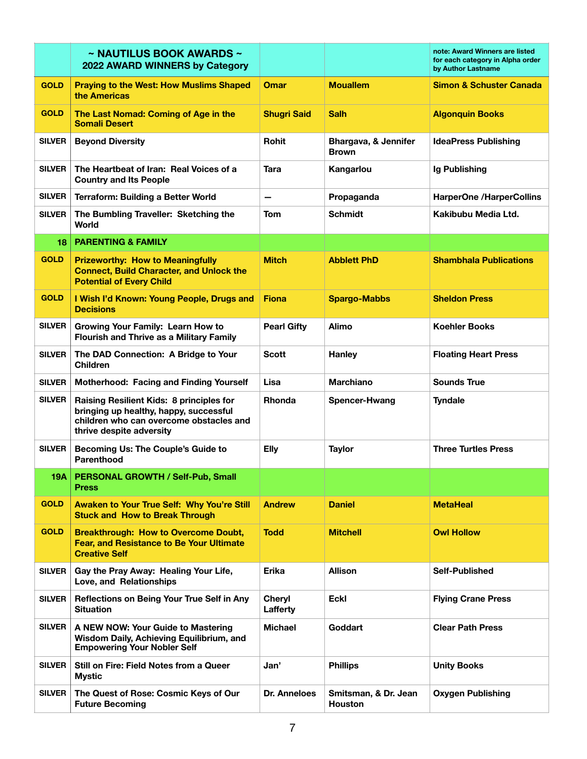|               | $\sim$ NAUTILUS BOOK AWARDS $\sim$<br>2022 AWARD WINNERS by Category                                                                                             |                     |                                        | note: Award Winners are listed<br>for each category in Alpha order<br>by Author Lastname |
|---------------|------------------------------------------------------------------------------------------------------------------------------------------------------------------|---------------------|----------------------------------------|------------------------------------------------------------------------------------------|
| <b>GOLD</b>   | <b>Praying to the West: How Muslims Shaped</b><br>the Americas                                                                                                   | <b>Omar</b>         | <b>Mouallem</b>                        | <b>Simon &amp; Schuster Canada</b>                                                       |
| <b>GOLD</b>   | The Last Nomad: Coming of Age in the<br><b>Somali Desert</b>                                                                                                     | <b>Shugri Said</b>  | <b>Salh</b>                            | <b>Algonquin Books</b>                                                                   |
| <b>SILVER</b> | <b>Beyond Diversity</b>                                                                                                                                          | Rohit               | Bhargava, & Jennifer<br><b>Brown</b>   | <b>IdeaPress Publishing</b>                                                              |
| <b>SILVER</b> | The Heartbeat of Iran: Real Voices of a<br><b>Country and Its People</b>                                                                                         | Tara                | Kangarlou                              | <b>Ig Publishing</b>                                                                     |
| <b>SILVER</b> | Terraform: Building a Better World                                                                                                                               | —                   | Propaganda                             | <b>HarperOne /HarperCollins</b>                                                          |
| <b>SILVER</b> | The Bumbling Traveller: Sketching the<br>World                                                                                                                   | <b>Tom</b>          | <b>Schmidt</b>                         | Kakibubu Media Ltd.                                                                      |
| 18            | <b>PARENTING &amp; FAMILY</b>                                                                                                                                    |                     |                                        |                                                                                          |
| <b>GOLD</b>   | <b>Prizeworthy: How to Meaningfully</b><br><b>Connect, Build Character, and Unlock the</b><br><b>Potential of Every Child</b>                                    | <b>Mitch</b>        | <b>Abblett PhD</b>                     | <b>Shambhala Publications</b>                                                            |
| <b>GOLD</b>   | I Wish I'd Known: Young People, Drugs and<br><b>Decisions</b>                                                                                                    | <b>Fiona</b>        | <b>Spargo-Mabbs</b>                    | <b>Sheldon Press</b>                                                                     |
| <b>SILVER</b> | Growing Your Family: Learn How to<br>Flourish and Thrive as a Military Family                                                                                    | <b>Pearl Gifty</b>  | <b>Alimo</b>                           | <b>Koehler Books</b>                                                                     |
| <b>SILVER</b> | The DAD Connection: A Bridge to Your<br><b>Children</b>                                                                                                          | Scott               | <b>Hanley</b>                          | <b>Floating Heart Press</b>                                                              |
| <b>SILVER</b> | <b>Motherhood: Facing and Finding Yourself</b>                                                                                                                   | Lisa                | <b>Marchiano</b>                       | <b>Sounds True</b>                                                                       |
| <b>SILVER</b> | <b>Raising Resilient Kids: 8 principles for</b><br>bringing up healthy, happy, successful<br>children who can overcome obstacles and<br>thrive despite adversity | <b>Rhonda</b>       | <b>Spencer-Hwang</b>                   | <b>Tyndale</b>                                                                           |
| <b>SILVER</b> | Becoming Us: The Couple's Guide to<br>Parenthood                                                                                                                 | <b>Elly</b>         | <b>Taylor</b>                          | <b>Three Turtles Press</b>                                                               |
|               | 19A   PERSONAL GROWTH / Self-Pub, Small<br><b>Press</b>                                                                                                          |                     |                                        |                                                                                          |
| <b>GOLD</b>   | Awaken to Your True Self: Why You're Still<br><b>Stuck and How to Break Through</b>                                                                              | <b>Andrew</b>       | <b>Daniel</b>                          | <b>MetaHeal</b>                                                                          |
| <b>GOLD</b>   | <b>Breakthrough: How to Overcome Doubt,</b><br>Fear, and Resistance to Be Your Ultimate<br><b>Creative Self</b>                                                  | <b>Todd</b>         | <b>Mitchell</b>                        | <b>Owl Hollow</b>                                                                        |
| <b>SILVER</b> | Gay the Pray Away: Healing Your Life,<br>Love, and Relationships                                                                                                 | <b>Erika</b>        | <b>Allison</b>                         | Self-Published                                                                           |
| <b>SILVER</b> | Reflections on Being Your True Self in Any<br><b>Situation</b>                                                                                                   | Cheryl<br>Lafferty  | <b>Eckl</b>                            | <b>Flying Crane Press</b>                                                                |
| <b>SILVER</b> | A NEW NOW: Your Guide to Mastering<br>Wisdom Daily, Achieving Equilibrium, and<br><b>Empowering Your Nobler Self</b>                                             | <b>Michael</b>      | Goddart                                | <b>Clear Path Press</b>                                                                  |
| <b>SILVER</b> | Still on Fire: Field Notes from a Queer<br><b>Mystic</b>                                                                                                         | Jan'                | <b>Phillips</b>                        | <b>Unity Books</b>                                                                       |
| <b>SILVER</b> | The Quest of Rose: Cosmic Keys of Our<br><b>Future Becoming</b>                                                                                                  | <b>Dr. Anneloes</b> | Smitsman, & Dr. Jean<br><b>Houston</b> | <b>Oxygen Publishing</b>                                                                 |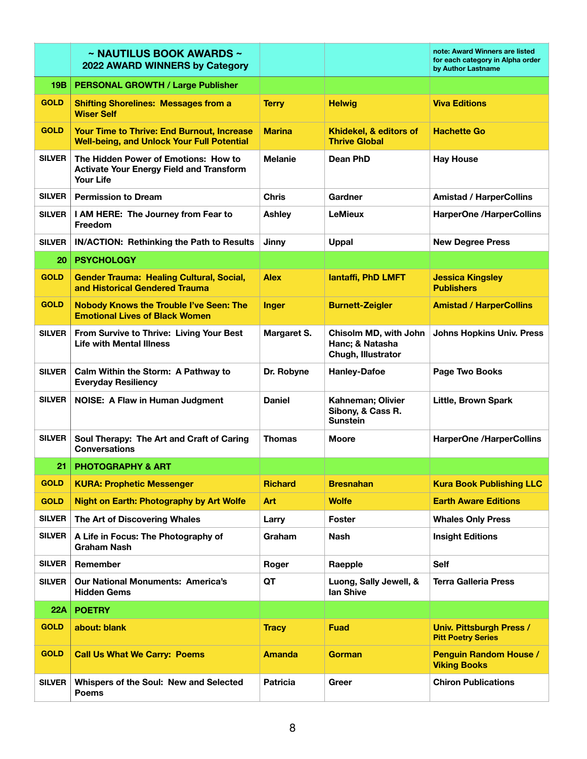|               | ~ NAUTILUS BOOK AWARDS ~<br>2022 AWARD WINNERS by Category                                                  |                 |                                                                | note: Award Winners are listed<br>for each category in Alpha order<br>by Author Lastname |
|---------------|-------------------------------------------------------------------------------------------------------------|-----------------|----------------------------------------------------------------|------------------------------------------------------------------------------------------|
| 19B           | <b>PERSONAL GROWTH / Large Publisher</b>                                                                    |                 |                                                                |                                                                                          |
| <b>GOLD</b>   | <b>Shifting Shorelines: Messages from a</b><br><b>Wiser Self</b>                                            | <b>Terry</b>    | <b>Helwig</b>                                                  | <b>Viva Editions</b>                                                                     |
| <b>GOLD</b>   | <b>Your Time to Thrive: End Burnout, Increase</b><br><b>Well-being, and Unlock Your Full Potential</b>      | <b>Marina</b>   | Khidekel, & editors of<br><b>Thrive Global</b>                 | <b>Hachette Go</b>                                                                       |
| <b>SILVER</b> | The Hidden Power of Emotions: How to<br><b>Activate Your Energy Field and Transform</b><br><b>Your Life</b> | <b>Melanie</b>  | Dean PhD                                                       | <b>Hay House</b>                                                                         |
| <b>SILVER</b> | <b>Permission to Dream</b>                                                                                  | <b>Chris</b>    | Gardner                                                        | <b>Amistad / HarperCollins</b>                                                           |
| <b>SILVER</b> | I AM HERE: The Journey from Fear to<br>Freedom                                                              | <b>Ashley</b>   | <b>LeMieux</b>                                                 | <b>HarperOne /HarperCollins</b>                                                          |
| <b>SILVER</b> | IN/ACTION: Rethinking the Path to Results                                                                   | Jinny           | <b>Uppal</b>                                                   | <b>New Degree Press</b>                                                                  |
| 20            | <b>PSYCHOLOGY</b>                                                                                           |                 |                                                                |                                                                                          |
| <b>GOLD</b>   | <b>Gender Trauma: Healing Cultural, Social,</b><br>and Historical Gendered Trauma                           | <b>Alex</b>     | lantaffi, PhD LMFT                                             | <b>Jessica Kingsley</b><br><b>Publishers</b>                                             |
| <b>GOLD</b>   | <b>Nobody Knows the Trouble I've Seen: The</b><br><b>Emotional Lives of Black Women</b>                     | <b>Inger</b>    | <b>Burnett-Zeigler</b>                                         | <b>Amistad / HarperCollins</b>                                                           |
| <b>SILVER</b> | From Survive to Thrive: Living Your Best<br><b>Life with Mental Illness</b>                                 | Margaret S.     | Chisolm MD, with John<br>Hanc; & Natasha<br>Chugh, Illustrator | <b>Johns Hopkins Univ. Press</b>                                                         |
| <b>SILVER</b> | Calm Within the Storm: A Pathway to<br><b>Everyday Resiliency</b>                                           | Dr. Robyne      | <b>Hanley-Dafoe</b>                                            | Page Two Books                                                                           |
| <b>SILVER</b> | <b>NOISE: A Flaw in Human Judgment</b>                                                                      | <b>Daniel</b>   | Kahneman; Olivier<br>Sibony, & Cass R.<br><b>Sunstein</b>      | Little, Brown Spark                                                                      |
| <b>SILVER</b> | Soul Therapy: The Art and Craft of Caring<br><b>Conversations</b>                                           | <b>Thomas</b>   | Moore                                                          | <b>HarperOne /HarperCollins</b>                                                          |
| 21.           | <b>PHOTOGRAPHY &amp; ART</b>                                                                                |                 |                                                                |                                                                                          |
| <b>GOLD</b>   | <b>KURA: Prophetic Messenger</b>                                                                            | <b>Richard</b>  | <b>Bresnahan</b>                                               | <b>Kura Book Publishing LLC</b>                                                          |
| <b>GOLD</b>   | <b>Night on Earth: Photography by Art Wolfe</b>                                                             | <b>Art</b>      | <b>Wolfe</b>                                                   | <b>Earth Aware Editions</b>                                                              |
| <b>SILVER</b> | The Art of Discovering Whales                                                                               | Larry           | <b>Foster</b>                                                  | <b>Whales Only Press</b>                                                                 |
| <b>SILVER</b> | A Life in Focus: The Photography of<br><b>Graham Nash</b>                                                   | Graham          | <b>Nash</b>                                                    | <b>Insight Editions</b>                                                                  |
| <b>SILVER</b> | Remember                                                                                                    | Roger           | Raepple                                                        | <b>Self</b>                                                                              |
| <b>SILVER</b> | <b>Our National Monuments: America's</b><br><b>Hidden Gems</b>                                              | QT              | Luong, Sally Jewell, &<br>lan Shive                            | <b>Terra Galleria Press</b>                                                              |
| <b>22A</b>    | <b>POETRY</b>                                                                                               |                 |                                                                |                                                                                          |
| <b>GOLD</b>   | about: blank                                                                                                | <b>Tracy</b>    | <b>Fuad</b>                                                    | <b>Univ. Pittsburgh Press /</b><br><b>Pitt Poetry Series</b>                             |
| <b>GOLD</b>   | <b>Call Us What We Carry: Poems</b>                                                                         | <b>Amanda</b>   | <b>Gorman</b>                                                  | <b>Penguin Random House /</b><br><b>Viking Books</b>                                     |
| <b>SILVER</b> | Whispers of the Soul: New and Selected<br><b>Poems</b>                                                      | <b>Patricia</b> | Greer                                                          | <b>Chiron Publications</b>                                                               |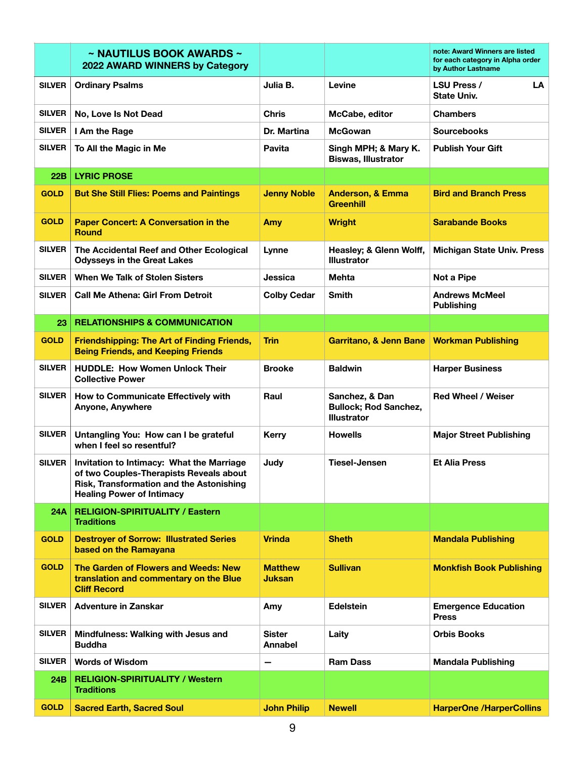|               | ~ NAUTILUS BOOK AWARDS ~<br>2022 AWARD WINNERS by Category                                                                                                           |                                 |                                                                      | note: Award Winners are listed<br>for each category in Alpha order<br>by Author Lastname |
|---------------|----------------------------------------------------------------------------------------------------------------------------------------------------------------------|---------------------------------|----------------------------------------------------------------------|------------------------------------------------------------------------------------------|
| <b>SILVER</b> | <b>Ordinary Psalms</b>                                                                                                                                               | Julia B.                        | Levine                                                               | <b>LSU Press /</b><br>LA<br><b>State Univ.</b>                                           |
| <b>SILVER</b> | No, Love Is Not Dead                                                                                                                                                 | <b>Chris</b>                    | McCabe, editor                                                       | <b>Chambers</b>                                                                          |
| <b>SILVER</b> | I Am the Rage                                                                                                                                                        | Dr. Martina                     | <b>McGowan</b>                                                       | <b>Sourcebooks</b>                                                                       |
| <b>SILVER</b> | To All the Magic in Me                                                                                                                                               | <b>Pavita</b>                   | Singh MPH; & Mary K.<br><b>Biswas, Illustrator</b>                   | <b>Publish Your Gift</b>                                                                 |
| 22B           | <b>LYRIC PROSE</b>                                                                                                                                                   |                                 |                                                                      |                                                                                          |
| <b>GOLD</b>   | <b>But She Still Flies: Poems and Paintings</b>                                                                                                                      | <b>Jenny Noble</b>              | <b>Anderson, &amp; Emma</b><br><b>Greenhill</b>                      | <b>Bird and Branch Press</b>                                                             |
| <b>GOLD</b>   | <b>Paper Concert: A Conversation in the</b><br><b>Round</b>                                                                                                          | Amy                             | <b>Wright</b>                                                        | <b>Sarabande Books</b>                                                                   |
| <b>SILVER</b> | The Accidental Reef and Other Ecological<br><b>Odysseys in the Great Lakes</b>                                                                                       | Lynne                           | Heasley; & Glenn Wolff,<br><b>Illustrator</b>                        | <b>Michigan State Univ. Press</b>                                                        |
| <b>SILVER</b> | When We Talk of Stolen Sisters                                                                                                                                       | Jessica                         | Mehta                                                                | Not a Pipe                                                                               |
| <b>SILVER</b> | <b>Call Me Athena: Girl From Detroit</b>                                                                                                                             | <b>Colby Cedar</b>              | <b>Smith</b>                                                         | <b>Andrews McMeel</b><br><b>Publishing</b>                                               |
| 23            | <b>RELATIONSHIPS &amp; COMMUNICATION</b>                                                                                                                             |                                 |                                                                      |                                                                                          |
| <b>GOLD</b>   | <b>Friendshipping: The Art of Finding Friends,</b><br><b>Being Friends, and Keeping Friends</b>                                                                      | <b>Trin</b>                     | Garritano, & Jenn Bane   Workman Publishing                          |                                                                                          |
| <b>SILVER</b> | <b>HUDDLE: How Women Unlock Their</b><br><b>Collective Power</b>                                                                                                     | <b>Brooke</b>                   | <b>Baldwin</b>                                                       | <b>Harper Business</b>                                                                   |
| <b>SILVER</b> | How to Communicate Effectively with<br>Anyone, Anywhere                                                                                                              | Raul                            | Sanchez, & Dan<br><b>Bullock; Rod Sanchez,</b><br><b>Illustrator</b> | <b>Red Wheel / Weiser</b>                                                                |
| <b>SILVER</b> | Untangling You: How can I be grateful<br>when I feel so resentful?                                                                                                   | <b>Kerry</b>                    | <b>Howells</b>                                                       | <b>Major Street Publishing</b>                                                           |
| <b>SILVER</b> | Invitation to Intimacy: What the Marriage<br>of two Couples-Therapists Reveals about<br>Risk, Transformation and the Astonishing<br><b>Healing Power of Intimacy</b> | Judy                            | Tiesel-Jensen                                                        | <b>Et Alia Press</b>                                                                     |
| 24A           | <b>RELIGION-SPIRITUALITY / Eastern</b><br><b>Traditions</b>                                                                                                          |                                 |                                                                      |                                                                                          |
| <b>GOLD</b>   | <b>Destroyer of Sorrow: Illustrated Series</b><br>based on the Ramayana                                                                                              | <b>Vrinda</b>                   | <b>Sheth</b>                                                         | <b>Mandala Publishing</b>                                                                |
| <b>GOLD</b>   | The Garden of Flowers and Weeds: New<br>translation and commentary on the Blue<br><b>Cliff Record</b>                                                                | <b>Matthew</b><br><b>Juksan</b> | <b>Sullivan</b>                                                      | <b>Monkfish Book Publishing</b>                                                          |
| <b>SILVER</b> | <b>Adventure in Zanskar</b>                                                                                                                                          | Amy                             | <b>Edelstein</b>                                                     | <b>Emergence Education</b><br><b>Press</b>                                               |
| <b>SILVER</b> | Mindfulness: Walking with Jesus and<br><b>Buddha</b>                                                                                                                 | <b>Sister</b><br><b>Annabel</b> | Laity                                                                | <b>Orbis Books</b>                                                                       |
| <b>SILVER</b> | <b>Words of Wisdom</b>                                                                                                                                               | -                               | <b>Ram Dass</b>                                                      | <b>Mandala Publishing</b>                                                                |
| 24B           | <b>RELIGION-SPIRITUALITY / Western</b><br><b>Traditions</b>                                                                                                          |                                 |                                                                      |                                                                                          |
| <b>GOLD</b>   | <b>Sacred Earth, Sacred Soul</b>                                                                                                                                     | <b>John Philip</b>              | <b>Newell</b>                                                        | <b>HarperOne /HarperCollins</b>                                                          |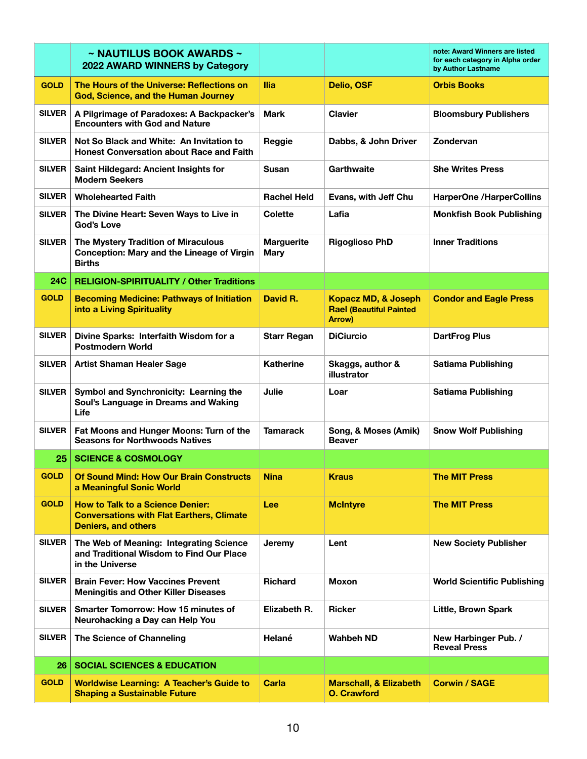|               | ~ NAUTILUS BOOK AWARDS ~<br>2022 AWARD WINNERS by Category                                                                |                                  |                                                                          | note: Award Winners are listed<br>for each category in Alpha order<br>by Author Lastname |
|---------------|---------------------------------------------------------------------------------------------------------------------------|----------------------------------|--------------------------------------------------------------------------|------------------------------------------------------------------------------------------|
| <b>GOLD</b>   | The Hours of the Universe: Reflections on<br>God, Science, and the Human Journey                                          | <b>Ilia</b>                      | <b>Delio, OSF</b>                                                        | <b>Orbis Books</b>                                                                       |
| <b>SILVER</b> | A Pilgrimage of Paradoxes: A Backpacker's<br><b>Encounters with God and Nature</b>                                        | <b>Mark</b>                      | <b>Clavier</b>                                                           | <b>Bloomsbury Publishers</b>                                                             |
| <b>SILVER</b> | Not So Black and White: An Invitation to<br><b>Honest Conversation about Race and Faith</b>                               | Reggie                           | Dabbs, & John Driver                                                     | <b>Zondervan</b>                                                                         |
| <b>SILVER</b> | Saint Hildegard: Ancient Insights for<br><b>Modern Seekers</b>                                                            | Susan                            | Garthwaite                                                               | <b>She Writes Press</b>                                                                  |
| <b>SILVER</b> | <b>Wholehearted Faith</b>                                                                                                 | <b>Rachel Held</b>               | Evans, with Jeff Chu                                                     | <b>HarperOne /HarperCollins</b>                                                          |
| <b>SILVER</b> | The Divine Heart: Seven Ways to Live in<br>God's Love                                                                     | Colette                          | Lafia                                                                    | <b>Monkfish Book Publishing</b>                                                          |
| <b>SILVER</b> | The Mystery Tradition of Miraculous<br><b>Conception: Mary and the Lineage of Virgin</b><br><b>Births</b>                 | <b>Marguerite</b><br><b>Mary</b> | <b>Rigoglioso PhD</b>                                                    | <b>Inner Traditions</b>                                                                  |
| <b>24C</b>    | <b>RELIGION-SPIRITUALITY / Other Traditions</b>                                                                           |                                  |                                                                          |                                                                                          |
| <b>GOLD</b>   | <b>Becoming Medicine: Pathways of Initiation</b><br>into a Living Spirituality                                            | David R.                         | Kopacz MD, & Joseph<br><b>Rael (Beautiful Painted)</b><br><b>Arrow</b> ) | <b>Condor and Eagle Press</b>                                                            |
| <b>SILVER</b> | Divine Sparks: Interfaith Wisdom for a<br><b>Postmodern World</b>                                                         | <b>Starr Regan</b>               | <b>DiCiurcio</b>                                                         | <b>DartFrog Plus</b>                                                                     |
| <b>SILVER</b> | <b>Artist Shaman Healer Sage</b>                                                                                          | <b>Katherine</b>                 | Skaggs, author &<br>illustrator                                          | <b>Satiama Publishing</b>                                                                |
| <b>SILVER</b> | Symbol and Synchronicity: Learning the<br>Soul's Language in Dreams and Waking<br>Life                                    | Julie                            | Loar                                                                     | <b>Satiama Publishing</b>                                                                |
| <b>SILVER</b> | Fat Moons and Hunger Moons: Turn of the<br><b>Seasons for Northwoods Natives</b>                                          | <b>Tamarack</b>                  | Song, & Moses (Amik)<br><b>Beaver</b>                                    | <b>Snow Wolf Publishing</b>                                                              |
| 25            | <b>SCIENCE &amp; COSMOLOGY</b>                                                                                            |                                  |                                                                          |                                                                                          |
| <b>GOLD</b>   | <b>Of Sound Mind: How Our Brain Constructs</b><br>a Meaningful Sonic World                                                | <b>Nina</b>                      | <b>Kraus</b>                                                             | <b>The MIT Press</b>                                                                     |
| <b>GOLD</b>   | <b>How to Talk to a Science Denier:</b><br><b>Conversations with Flat Earthers, Climate</b><br><b>Deniers, and others</b> | Lee                              | <b>McIntyre</b>                                                          | <b>The MIT Press</b>                                                                     |
| <b>SILVER</b> | The Web of Meaning: Integrating Science<br>and Traditional Wisdom to Find Our Place<br>in the Universe                    | Jeremy                           | Lent                                                                     | <b>New Society Publisher</b>                                                             |
| <b>SILVER</b> | <b>Brain Fever: How Vaccines Prevent</b><br><b>Meningitis and Other Killer Diseases</b>                                   | <b>Richard</b>                   | <b>Moxon</b>                                                             | <b>World Scientific Publishing</b>                                                       |
| <b>SILVER</b> | <b>Smarter Tomorrow: How 15 minutes of</b><br>Neurohacking a Day can Help You                                             | Elizabeth R.                     | <b>Ricker</b>                                                            | <b>Little, Brown Spark</b>                                                               |
| <b>SILVER</b> | The Science of Channeling                                                                                                 | Helané                           | <b>Wahbeh ND</b>                                                         | New Harbinger Pub. /<br><b>Reveal Press</b>                                              |
| 26            | <b>SOCIAL SCIENCES &amp; EDUCATION</b>                                                                                    |                                  |                                                                          |                                                                                          |
| <b>GOLD</b>   | <b>Worldwise Learning: A Teacher's Guide to</b><br><b>Shaping a Sustainable Future</b>                                    | Carla                            | <b>Marschall, &amp; Elizabeth</b><br><b>O.</b> Crawford                  | <b>Corwin / SAGE</b>                                                                     |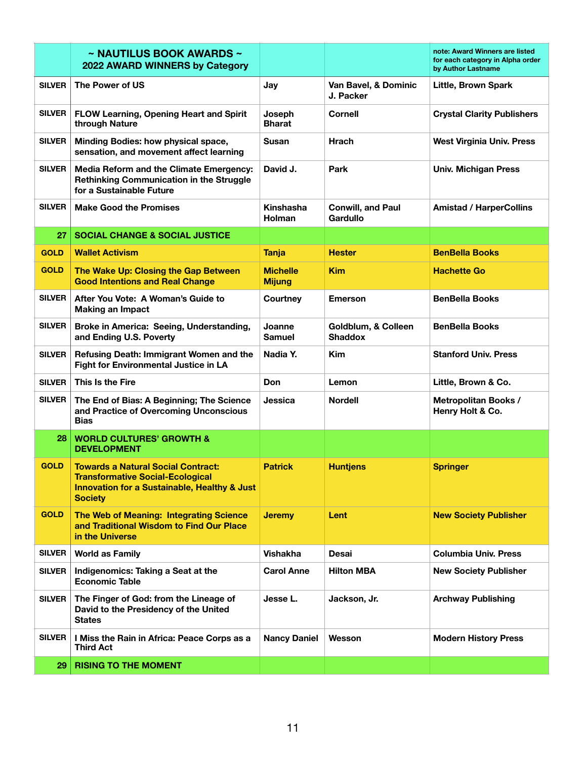|               | ~ NAUTILUS BOOK AWARDS ~<br>2022 AWARD WINNERS by Category                                                                                                        |                                  |                                       | note: Award Winners are listed<br>for each category in Alpha order<br>by Author Lastname |
|---------------|-------------------------------------------------------------------------------------------------------------------------------------------------------------------|----------------------------------|---------------------------------------|------------------------------------------------------------------------------------------|
| <b>SILVER</b> | The Power of US                                                                                                                                                   | Jay                              | Van Bavel, & Dominic<br>J. Packer     | Little, Brown Spark                                                                      |
| <b>SILVER</b> | <b>FLOW Learning, Opening Heart and Spirit</b><br>through Nature                                                                                                  | Joseph<br><b>Bharat</b>          | <b>Cornell</b>                        | <b>Crystal Clarity Publishers</b>                                                        |
| <b>SILVER</b> | Minding Bodies: how physical space,<br>sensation, and movement affect learning                                                                                    | Susan                            | <b>Hrach</b>                          | <b>West Virginia Univ. Press</b>                                                         |
| <b>SILVER</b> | Media Reform and the Climate Emergency:<br><b>Rethinking Communication in the Struggle</b><br>for a Sustainable Future                                            | David J.                         | Park                                  | <b>Univ. Michigan Press</b>                                                              |
| <b>SILVER</b> | <b>Make Good the Promises</b>                                                                                                                                     | Kinshasha<br>Holman              | <b>Conwill, and Paul</b><br>Gardullo  | <b>Amistad / HarperCollins</b>                                                           |
| 27            | <b>SOCIAL CHANGE &amp; SOCIAL JUSTICE</b>                                                                                                                         |                                  |                                       |                                                                                          |
| <b>GOLD</b>   | <b>Wallet Activism</b>                                                                                                                                            | <b>Tanja</b>                     | <b>Hester</b>                         | <b>BenBella Books</b>                                                                    |
| <b>GOLD</b>   | The Wake Up: Closing the Gap Between<br><b>Good Intentions and Real Change</b>                                                                                    | <b>Michelle</b><br><b>Mijung</b> | <b>Kim</b>                            | <b>Hachette Go</b>                                                                       |
| <b>SILVER</b> | After You Vote: A Woman's Guide to<br><b>Making an Impact</b>                                                                                                     | Courtney                         | <b>Emerson</b>                        | <b>BenBella Books</b>                                                                    |
| <b>SILVER</b> | Broke in America: Seeing, Understanding,<br>and Ending U.S. Poverty                                                                                               | Joanne<br><b>Samuel</b>          | Goldblum, & Colleen<br><b>Shaddox</b> | <b>BenBella Books</b>                                                                    |
| <b>SILVER</b> | Refusing Death: Immigrant Women and the<br>Fight for Environmental Justice in LA                                                                                  | Nadia Y.                         | <b>Kim</b>                            | <b>Stanford Univ. Press</b>                                                              |
| <b>SILVER</b> | This Is the Fire                                                                                                                                                  | Don                              | Lemon                                 | Little, Brown & Co.                                                                      |
| <b>SILVER</b> | The End of Bias: A Beginning; The Science<br>and Practice of Overcoming Unconscious<br><b>Bias</b>                                                                | Jessica                          | <b>Nordell</b>                        | <b>Metropolitan Books /</b><br>Henry Holt & Co.                                          |
| 28            | <b>WORLD CULTURES' GROWTH &amp;</b><br><b>DEVELOPMENT</b>                                                                                                         |                                  |                                       |                                                                                          |
| <b>GOLD</b>   | <b>Towards a Natural Social Contract:</b><br><b>Transformative Social-Ecological</b><br><b>Innovation for a Sustainable, Healthy &amp; Just</b><br><b>Society</b> | <b>Patrick</b>                   | <b>Huntjens</b>                       | <b>Springer</b>                                                                          |
| <b>GOLD</b>   | The Web of Meaning: Integrating Science<br>and Traditional Wisdom to Find Our Place<br>in the Universe                                                            | <b>Jeremy</b>                    | Lent                                  | <b>New Society Publisher</b>                                                             |
| <b>SILVER</b> | <b>World as Family</b>                                                                                                                                            | <b>Vishakha</b>                  | <b>Desai</b>                          | <b>Columbia Univ. Press</b>                                                              |
| <b>SILVER</b> | Indigenomics: Taking a Seat at the<br><b>Economic Table</b>                                                                                                       | <b>Carol Anne</b>                | <b>Hilton MBA</b>                     | <b>New Society Publisher</b>                                                             |
| <b>SILVER</b> | The Finger of God: from the Lineage of<br>David to the Presidency of the United<br><b>States</b>                                                                  | Jesse L.                         | Jackson, Jr.                          | <b>Archway Publishing</b>                                                                |
| <b>SILVER</b> | I Miss the Rain in Africa: Peace Corps as a<br><b>Third Act</b>                                                                                                   | <b>Nancy Daniel</b>              | Wesson                                | <b>Modern History Press</b>                                                              |
| 29            | <b>RISING TO THE MOMENT</b>                                                                                                                                       |                                  |                                       |                                                                                          |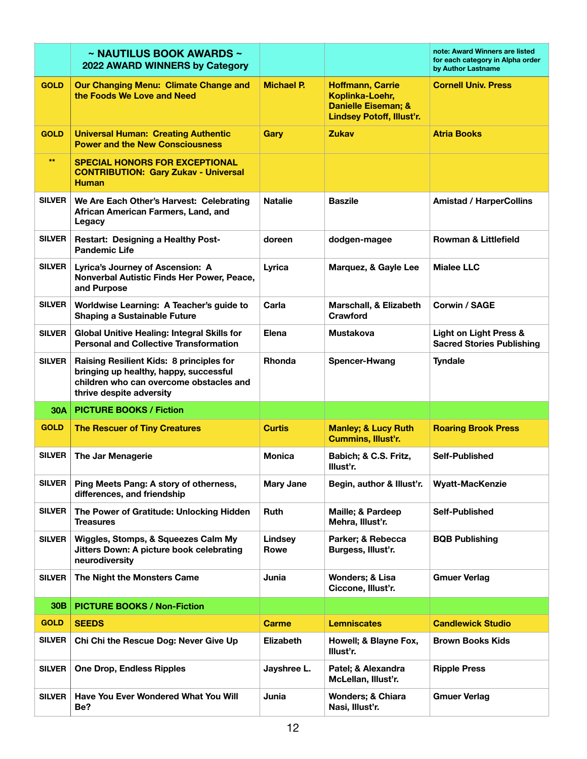|               | $\sim$ NAUTILUS BOOK AWARDS $\sim$<br>2022 AWARD WINNERS by Category                                                                                      |                   |                                                                                                                  | note: Award Winners are listed<br>for each category in Alpha order<br>by Author Lastname |
|---------------|-----------------------------------------------------------------------------------------------------------------------------------------------------------|-------------------|------------------------------------------------------------------------------------------------------------------|------------------------------------------------------------------------------------------|
| <b>GOLD</b>   | <b>Our Changing Menu: Climate Change and</b><br>the Foods We Love and Need                                                                                | <b>Michael P.</b> | <b>Hoffmann, Carrie</b><br>Koplinka-Loehr,<br><b>Danielle Eiseman; &amp;</b><br><b>Lindsey Potoff, Illust'r.</b> | <b>Cornell Univ. Press</b>                                                               |
| <b>GOLD</b>   | <b>Universal Human: Creating Authentic</b><br><b>Power and the New Consciousness</b>                                                                      | Gary              | <b>Zukav</b>                                                                                                     | <b>Atria Books</b>                                                                       |
| $**$          | <b>SPECIAL HONORS FOR EXCEPTIONAL</b><br><b>CONTRIBUTION: Gary Zukav - Universal</b><br><b>Human</b>                                                      |                   |                                                                                                                  |                                                                                          |
| <b>SILVER</b> | We Are Each Other's Harvest: Celebrating<br>African American Farmers, Land, and<br>Legacy                                                                 | <b>Natalie</b>    | <b>Baszile</b>                                                                                                   | <b>Amistad / HarperCollins</b>                                                           |
| <b>SILVER</b> | <b>Restart: Designing a Healthy Post-</b><br><b>Pandemic Life</b>                                                                                         | doreen            | dodgen-magee                                                                                                     | <b>Rowman &amp; Littlefield</b>                                                          |
| <b>SILVER</b> | Lyrica's Journey of Ascension: A<br>Nonverbal Autistic Finds Her Power, Peace,<br>and Purpose                                                             | Lyrica            | Marquez, & Gayle Lee                                                                                             | <b>Mialee LLC</b>                                                                        |
| <b>SILVER</b> | Worldwise Learning: A Teacher's guide to<br><b>Shaping a Sustainable Future</b>                                                                           | Carla             | Marschall, & Elizabeth<br>Crawford                                                                               | Corwin / SAGE                                                                            |
| <b>SILVER</b> | <b>Global Unitive Healing: Integral Skills for</b><br><b>Personal and Collective Transformation</b>                                                       | <b>Elena</b>      | Mustakova                                                                                                        | Light on Light Press &<br><b>Sacred Stories Publishing</b>                               |
| <b>SILVER</b> | Raising Resilient Kids: 8 principles for<br>bringing up healthy, happy, successful<br>children who can overcome obstacles and<br>thrive despite adversity | <b>Rhonda</b>     | <b>Spencer-Hwang</b>                                                                                             | <b>Tyndale</b>                                                                           |
| 30A           | <b>PICTURE BOOKS / Fiction</b>                                                                                                                            |                   |                                                                                                                  |                                                                                          |
| <b>GOLD</b>   | <b>The Rescuer of Tiny Creatures</b>                                                                                                                      | <b>Curtis</b>     | <b>Manley; &amp; Lucy Ruth</b><br>Cummins, Illust'r.                                                             | <b>Roaring Brook Press</b>                                                               |
| <b>SILVER</b> | The Jar Menagerie                                                                                                                                         | <b>Monica</b>     | Babich; & C.S. Fritz,<br>Illust'r.                                                                               | Self-Published                                                                           |
| <b>SILVER</b> | Ping Meets Pang: A story of otherness,<br>differences, and friendship                                                                                     | <b>Mary Jane</b>  | Begin, author & Illust'r.                                                                                        | <b>Wyatt-MacKenzie</b>                                                                   |
| <b>SILVER</b> | The Power of Gratitude: Unlocking Hidden<br><b>Treasures</b>                                                                                              | Ruth              | Maille; & Pardeep<br>Mehra, Illust'r.                                                                            | Self-Published                                                                           |
| <b>SILVER</b> | Wiggles, Stomps, & Squeezes Calm My<br>Jitters Down: A picture book celebrating<br>neurodiversity                                                         | Lindsey<br>Rowe   | Parker; & Rebecca<br>Burgess, Illust'r.                                                                          | <b>BQB Publishing</b>                                                                    |
| <b>SILVER</b> | The Night the Monsters Came                                                                                                                               | Junia             | Wonders; & Lisa<br>Ciccone, Illust'r.                                                                            | <b>Gmuer Verlag</b>                                                                      |
| <b>30B</b>    | <b>PICTURE BOOKS / Non-Fiction</b>                                                                                                                        |                   |                                                                                                                  |                                                                                          |
| <b>GOLD</b>   | <b>SEEDS</b>                                                                                                                                              | <b>Carme</b>      | <b>Lemniscates</b>                                                                                               | <b>Candlewick Studio</b>                                                                 |
| <b>SILVER</b> | Chi Chi the Rescue Dog: Never Give Up                                                                                                                     | <b>Elizabeth</b>  | Howell; & Blayne Fox,<br>Illust'r.                                                                               | <b>Brown Books Kids</b>                                                                  |
| <b>SILVER</b> | <b>One Drop, Endless Ripples</b>                                                                                                                          | Jayshree L.       | Patel; & Alexandra<br>McLellan, Illust'r.                                                                        | <b>Ripple Press</b>                                                                      |
| <b>SILVER</b> | Have You Ever Wondered What You Will<br>Be?                                                                                                               | Junia             | <b>Wonders; &amp; Chiara</b><br>Nasi, Illust'r.                                                                  | <b>Gmuer Verlag</b>                                                                      |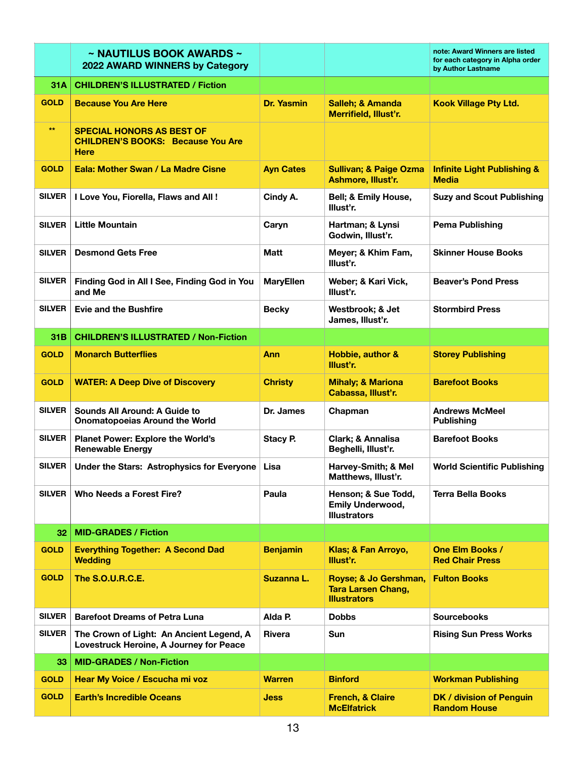|               | ~ NAUTILUS BOOK AWARDS ~<br>2022 AWARD WINNERS by Category                                  |                   |                                                                           | note: Award Winners are listed<br>for each category in Alpha order<br>by Author Lastname |
|---------------|---------------------------------------------------------------------------------------------|-------------------|---------------------------------------------------------------------------|------------------------------------------------------------------------------------------|
| 31A           | <b>CHILDREN'S ILLUSTRATED / Fiction</b>                                                     |                   |                                                                           |                                                                                          |
| <b>GOLD</b>   | <b>Because You Are Here</b>                                                                 | <b>Dr. Yasmin</b> | <b>Salleh; &amp; Amanda</b><br>Merrifield, Illust'r.                      | <b>Kook Village Pty Ltd.</b>                                                             |
| $**$          | <b>SPECIAL HONORS AS BEST OF</b><br><b>CHILDREN'S BOOKS: Because You Are</b><br><b>Here</b> |                   |                                                                           |                                                                                          |
| <b>GOLD</b>   | Eala: Mother Swan / La Madre Cisne                                                          | <b>Ayn Cates</b>  | <b>Sullivan; &amp; Paige Ozma</b><br>Ashmore, Illust'r.                   | <b>Infinite Light Publishing &amp;</b><br><b>Media</b>                                   |
| <b>SILVER</b> | I Love You, Fiorella, Flaws and All!                                                        | Cindy A.          | Bell; & Emily House,<br>Illust'r.                                         | <b>Suzy and Scout Publishing</b>                                                         |
| <b>SILVER</b> | <b>Little Mountain</b>                                                                      | Caryn             | Hartman; & Lynsi<br>Godwin, Illust'r.                                     | <b>Pema Publishing</b>                                                                   |
| <b>SILVER</b> | <b>Desmond Gets Free</b>                                                                    | Matt              | Meyer; & Khim Fam,<br>Illust'r.                                           | <b>Skinner House Books</b>                                                               |
| <b>SILVER</b> | Finding God in All I See, Finding God in You<br>and Me                                      | <b>MaryEllen</b>  | Weber; & Kari Vick,<br>Illust'r.                                          | <b>Beaver's Pond Press</b>                                                               |
| <b>SILVER</b> | <b>Evie and the Bushfire</b>                                                                | <b>Becky</b>      | Westbrook; & Jet<br>James, Illust'r.                                      | <b>Stormbird Press</b>                                                                   |
| 31B           | <b>CHILDREN'S ILLUSTRATED / Non-Fiction</b>                                                 |                   |                                                                           |                                                                                          |
| <b>GOLD</b>   | <b>Monarch Butterflies</b>                                                                  | Ann               | Hobbie, author &<br>Illust'r.                                             | <b>Storey Publishing</b>                                                                 |
| <b>GOLD</b>   | <b>WATER: A Deep Dive of Discovery</b>                                                      | <b>Christy</b>    | <b>Mihaly; &amp; Mariona</b><br>Cabassa, Illust'r.                        | <b>Barefoot Books</b>                                                                    |
| <b>SILVER</b> | Sounds All Around: A Guide to<br><b>Onomatopoeias Around the World</b>                      | Dr. James         | Chapman                                                                   | <b>Andrews McMeel</b><br><b>Publishing</b>                                               |
| <b>SILVER</b> | <b>Planet Power: Explore the World's</b><br><b>Renewable Energy</b>                         | Stacy P.          | Clark; & Annalisa<br>Beghelli, Illust'r.                                  | <b>Barefoot Books</b>                                                                    |
| <b>SILVER</b> | Under the Stars: Astrophysics for Everyone                                                  | Lisa              | Harvey-Smith; & Mel<br>Matthews, Illust'r.                                | <b>World Scientific Publishing</b>                                                       |
| <b>SILVER</b> | Who Needs a Forest Fire?                                                                    | Paula             | Henson; & Sue Todd,<br><b>Emily Underwood,</b><br><b>Illustrators</b>     | <b>Terra Bella Books</b>                                                                 |
| 32            | <b>MID-GRADES / Fiction</b>                                                                 |                   |                                                                           |                                                                                          |
| <b>GOLD</b>   | <b>Everything Together: A Second Dad</b><br><b>Wedding</b>                                  | <b>Benjamin</b>   | Klas; & Fan Arroyo,<br>Illust'r.                                          | <b>One Elm Books /</b><br><b>Red Chair Press</b>                                         |
| <b>GOLD</b>   | <b>The S.O.U.R.C.E.</b>                                                                     | Suzanna L.        | Royse; & Jo Gershman,<br><b>Tara Larsen Chang,</b><br><b>Illustrators</b> | <b>Fulton Books</b>                                                                      |
| <b>SILVER</b> | <b>Barefoot Dreams of Petra Luna</b>                                                        | Alda P.           | <b>Dobbs</b>                                                              | <b>Sourcebooks</b>                                                                       |
| <b>SILVER</b> | The Crown of Light: An Ancient Legend, A                                                    | <b>Rivera</b>     | Sun                                                                       | <b>Rising Sun Press Works</b>                                                            |
|               | Lovestruck Heroine, A Journey for Peace                                                     |                   |                                                                           |                                                                                          |
| 33            | <b>MID-GRADES / Non-Fiction</b>                                                             |                   |                                                                           |                                                                                          |
| <b>GOLD</b>   | Hear My Voice / Escucha mi voz                                                              | <b>Warren</b>     | <b>Binford</b>                                                            | <b>Workman Publishing</b>                                                                |